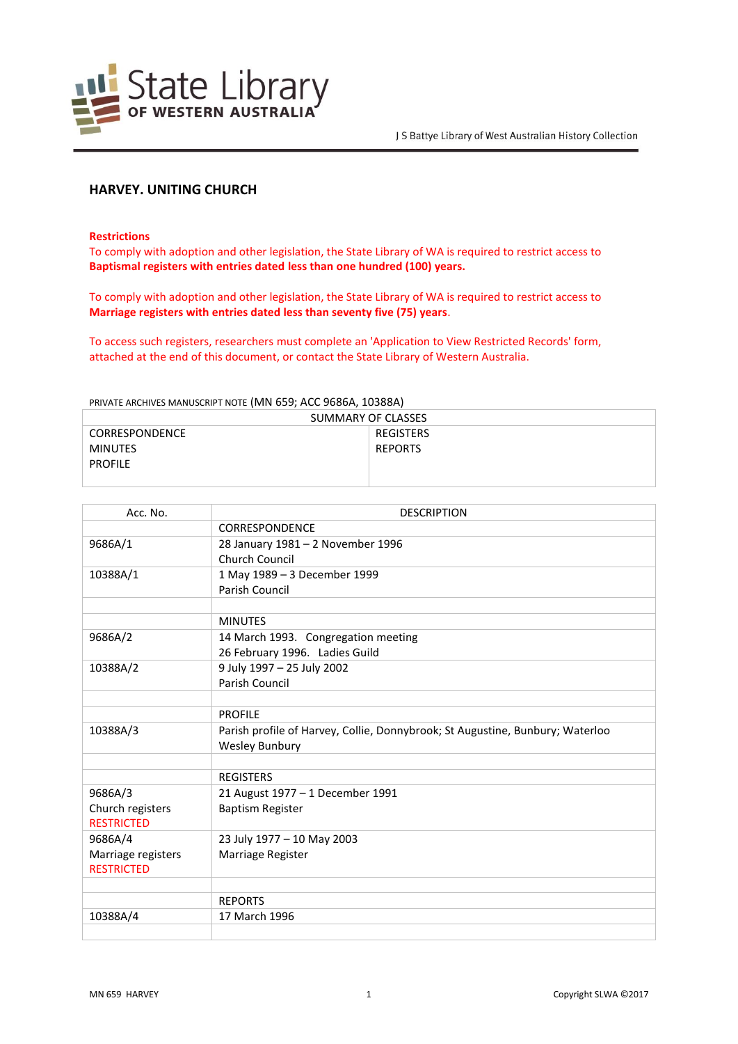

# **HARVEY. UNITING CHURCH**

**Restrictions**

To comply with adoption and other legislation, the State Library of WA is required to restrict access to **Baptismal registers with entries dated less than one hundred (100) years.**

To comply with adoption and other legislation, the State Library of WA is required to restrict access to **Marriage registers with entries dated less than seventy five (75) years**.

To access such registers, researchers must complete an 'Application to View Restricted Records' form, attached at the end of this document, or contact the State Library of Western Australia.

#### PRIVATE ARCHIVES MANUSCRIPT NOTE (MN 659; ACC 9686A, 10388A)

| SUMMARY OF CLASSES    |                |
|-----------------------|----------------|
| <b>CORRESPONDENCE</b> | REGISTERS      |
| <b>MINUTES</b>        | <b>REPORTS</b> |
| <b>PROFILE</b>        |                |
|                       |                |

| Acc. No.           | <b>DESCRIPTION</b>                                                            |
|--------------------|-------------------------------------------------------------------------------|
|                    | <b>CORRESPONDENCE</b>                                                         |
| 9686A/1            | 28 January 1981 - 2 November 1996                                             |
|                    | Church Council                                                                |
| 10388A/1           | 1 May 1989 - 3 December 1999                                                  |
|                    | Parish Council                                                                |
|                    |                                                                               |
|                    | <b>MINUTES</b>                                                                |
| 9686A/2            | 14 March 1993. Congregation meeting                                           |
|                    | 26 February 1996. Ladies Guild                                                |
| 10388A/2           | 9 July 1997 - 25 July 2002                                                    |
|                    | <b>Parish Council</b>                                                         |
|                    |                                                                               |
|                    | <b>PROFILE</b>                                                                |
| 10388A/3           | Parish profile of Harvey, Collie, Donnybrook; St Augustine, Bunbury; Waterloo |
|                    | <b>Wesley Bunbury</b>                                                         |
|                    |                                                                               |
|                    | <b>REGISTERS</b>                                                              |
| 9686A/3            | 21 August 1977 - 1 December 1991                                              |
| Church registers   | <b>Baptism Register</b>                                                       |
| <b>RESTRICTED</b>  |                                                                               |
| 9686A/4            | 23 July 1977 - 10 May 2003                                                    |
| Marriage registers | Marriage Register                                                             |
| <b>RESTRICTED</b>  |                                                                               |
|                    |                                                                               |
|                    | <b>REPORTS</b>                                                                |
| 10388A/4           | 17 March 1996                                                                 |
|                    |                                                                               |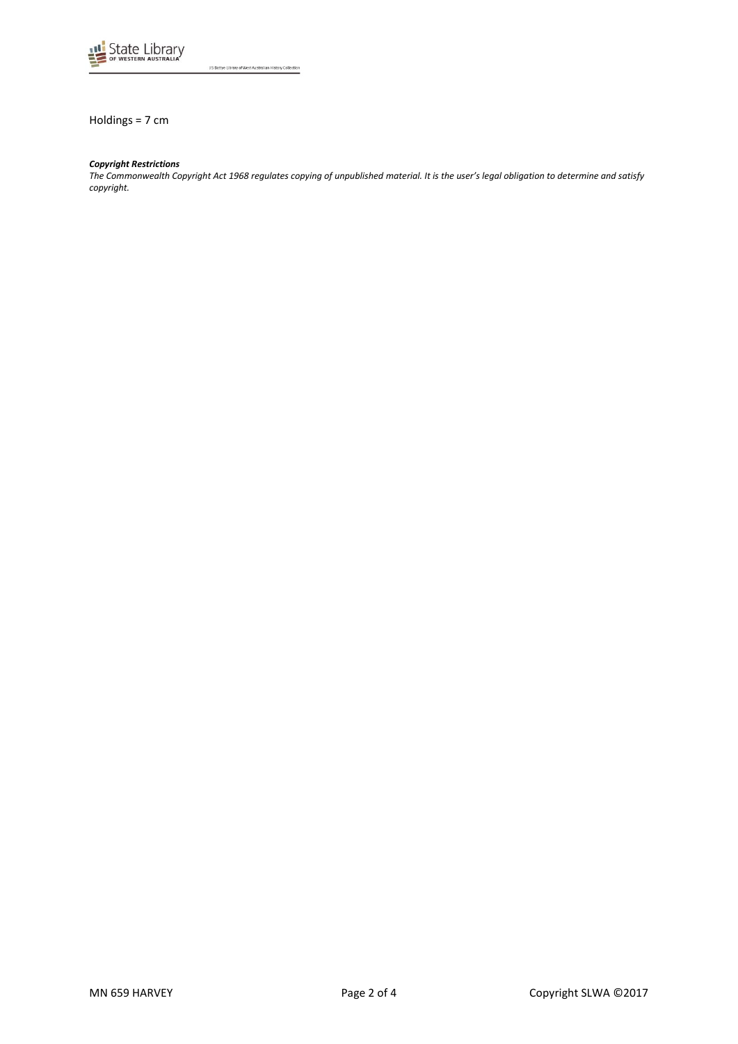

J S Battye Library of West Australian History Collection

Holdings = 7 cm

#### *Copyright Restrictions*

*The Commonwealth Copyright Act 1968 regulates copying of unpublished material. It is the user's legal obligation to determine and satisfy copyright.*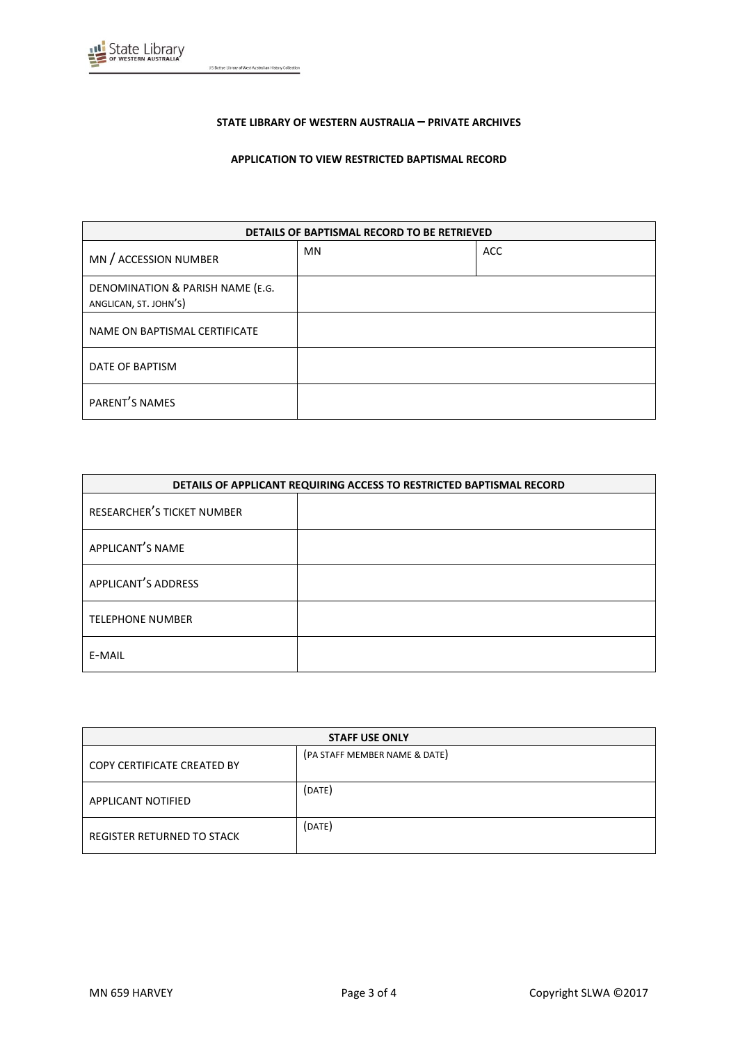

J S Battye Library of West Australian History Collection

## **STATE LIBRARY OF WESTERN AUSTRALIA – PRIVATE ARCHIVES**

## **APPLICATION TO VIEW RESTRICTED BAPTISMAL RECORD**

| DETAILS OF BAPTISMAL RECORD TO BE RETRIEVED               |           |            |
|-----------------------------------------------------------|-----------|------------|
| MN / ACCESSION NUMBER                                     | <b>MN</b> | <b>ACC</b> |
| DENOMINATION & PARISH NAME (E.G.<br>ANGLICAN, ST. JOHN'S) |           |            |
| NAME ON BAPTISMAL CERTIFICATE                             |           |            |
| DATE OF BAPTISM                                           |           |            |
| PARENT'S NAMES                                            |           |            |

| DETAILS OF APPLICANT REQUIRING ACCESS TO RESTRICTED BAPTISMAL RECORD |  |
|----------------------------------------------------------------------|--|
| RESEARCHER'S TICKET NUMBER                                           |  |
| APPLICANT'S NAME                                                     |  |
| APPLICANT'S ADDRESS                                                  |  |
| <b>TELEPHONE NUMBER</b>                                              |  |
| E-MAIL                                                               |  |

| <b>STAFF USE ONLY</b>       |                               |
|-----------------------------|-------------------------------|
| COPY CERTIFICATE CREATED BY | (PA STAFF MEMBER NAME & DATE) |
| <b>APPLICANT NOTIFIED</b>   | (DATE)                        |
| REGISTER RETURNED TO STACK  | (DATE)                        |